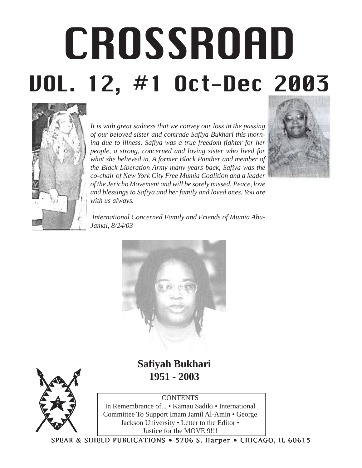# $\sim$  -  $\sim$  -  $\sim$  -  $\sim$  -  $\sim$ **CROSSROAD** VOL. 12, #1 Oct-Dec 2003



*It is with great sadness that we convey our loss in the passing of our beloved sister and comrade Safiya Bukhari this morning due to illness. Safiya was a true freedom fighter for her people, a strong, concerned and loving sister who lived for what she believed in. A former Black Panther and member of the Black Liberation Army many years back, Safiya was the co-chair of New York City Free Mumia Coalition and a leader of the Jericho Movement and will be sorely missed. Peace, love and blessings to Safiya and her family and loved ones. You are with us always.*



 *International Concerned Family and Friends of Mumia Abu-Jamal, 8/24/03*



**Safiyah Bukhari 1951 - 2003**

### **CONTENTS**

In Remembrance of... • Kamau Sadiki • International Committee To Support Imam Jamil Al-Amin • George Jackson University • Letter to the Editor • Justice for the MOVE 9!!!

SPEAR & SHIELD PUBLICATIONS • 5206 S. Harper • CHICAGO, IL 60615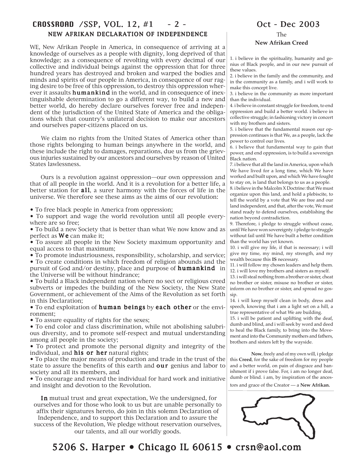## CROSSROAD /SSP, VOL. 12, #1 - 2 - Oct - Dec 2003 NEW AFRIKAN DECLARATION OF INDEPENDENCE

WE, New Afrikan People in America, in consequence of arriving at a knowledge of ourselves as a people with dignity, long deprived of that knowledge; as a consequence of revolting with every decimal of our collective and individual beings against the oppression that for three hundred years has destroyed and broken and warped the bodies and minds and spirits of our people in America, in consequence of our raging desire to be free of this oppression, to destroy this oppression wherever it assaults **humankind** in the world, and in consequence of inextinguishable determination to go a different way, to build a new and better world, do hereby declare ourselves forever free and independent of the jurisdiction of the United State of America and the obligations which that country's unilateral decision to make our ancestors and ourselves paper-citizens placed on us.

 We claim no rights from the United States of America other than those rights belonging to human beings anywhere in the world, and these include the right to damages, reparations, due us from the grievous injuries sustained by our ancestors and ourselves by reason of United States lawlessness.

 Ours is a revolution against oppression—our own oppression and that of all people in the world. And it is a revolution for a better life, a better station for **all**, a surer harmony with the forces of life in the universe. We therefore see these aims as the aims of our revolution:

• To free black people in America from oppression;

• To support and wage the world revolution until all people everywhere are so free;

• To build a new Society that is better than what We now know and as perfect as  $W$  e can make it;

• To assure all people in the New Society maximum opportunity and equal access to that maximum;

• To promote industriousness, responsibility, scholarship, and service; • To create conditions in which freedom of religion abounds and the pursuit of God and/or destiny, place and purpose of **humankind** in the Universe will be without hindrance;

• To build a Black independent nation where no sect or religious creed subverts or impedes the building of the New Society, the New State Government, or achievement of the Aims of the Revolution as set forth in this Declaration;

• To end exploitation of human beings by each other or the environment;

• To assure equality of rights for the sexes;

• To end color and class discrimination, while not abolishing salubrious diversity, and to promote self-respect and mutual understanding among all people in the society;

• To protect and promote the personal dignity and integrity of the individual, and his or her natural rights;

• To place the major means of production and trade in the trust of the state to assure the benefits of this earth and **our** genius and labor to society and all its members, and

• To encourage and reward the individual for hard work and initiative and insight and devotion to the Revolution.

In mutual trust and great expectation, We the undersigned, for ourselves and for those who look to us but are unable personally to affix their signatures hereto, do join in this solemn Declaration of Independence, and to support this Declaration and to assure the success of the Revolution, We pledge without reservation ourselves, our talents, and all our worldly goods.

The **New Afrikan Creed**

1. i believe in the spirituality, humanity and genius of Black people, and in our new pursuit of these values.

2. i believe in the family and the community, and in the community as a family, and i will work to make this concept live.

3. i believe in the community as more important than the individual.

4. i believe in constant struggle for freedom, to end oppression and build a better world. i believe in collective struggle; in fashioning victory in concert with my brothers and sisters.

5. i believe that the fundamental reason our oppression continues is that We, as a people, lack the power to control our lives.

6. i believe that fundamental way to gain that power, and end oppression, is to build a sovereign Black nation.

7. i believe that all the land in America, upon which We have lived for a long time, which We have worked and built upon, and which We have fought to stay on, is land that belongs to us as a people.

8. i believe in the Malcolm X Doctrine: that We must organize upon this land, and hold a plebiscite, to tell the world by a vote that We are free and our land independent, and that, after the vote, We must stand ready to defend ourselves, establishing the nation beyond contradiction.

9. Therefore, i pledge to struggle without cease, until We have won sovereignty. i pledge to struggle without fail until We have built a better condition than the world has yet known.

10. i will give my life, if that is necessary; i will give my time, my mind, my strength, and my wealth because this **IS** necessary.

11. i will follow my chosen leaders and help them. 12. i will love my brothers and sisters as myself.

13. i will steal nothing from a brother or sister, cheat no brother or sister, misuse no brother or sister, inform on no brother or sister, and spread no gossip.

14. i will keep myself clean in body, dress and speech, knowing that i am a light set on a hill, a true representative of what We are building.

15. i will be patient and uplifting with the deaf, dumb and blind, and i will seek by word and deed to heal the Black family, to bring into the Movement and into the Community mothers and fathers, brothers and sisters left by the wayside.

**Now**, freely and of my own will, i pledge this **Creed**, for the sake of freedom for my people and a better world, on pain of disgrace and banishment if i prove false. For, i am no longer deaf, dumb or blind. i am, by inspiration of the ancestors and grace of the Creator — a **New Afrikan.**

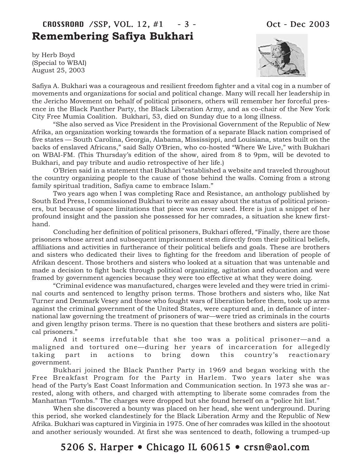# CROSSROAD /SSP, VOL. 12, #1 - 3 - Oct - Dec 2003 **Remembering Safiya Bukhari**

by Herb Boyd (Special to WBAI) August 25, 2003



Safiya A. Bukhari was a courageous and resilient freedom fighter and a vital cog in a number of movements and organizations for social and political change. Many will recall her leadership in the Jericho Movement on behalf of political prisoners, others will remember her forceful presence in the Black Panther Party, the Black Liberation Army, and as co-chair of the New York City Free Mumia Coalition. Bukhari, 53, died on Sunday due to a long illness.

"She also served as Vice President in the Provisional Government of the Republic of New Afrika, an organization working towards the formation of a separate Black nation comprised of five states — South Carolina, Georgia, Alabama, Mississippi, and Louisiana, states built on the backs of enslaved Africans," said Sally O'Brien, who co-hosted "Where We Live," with Bukhari on WBAI-FM. (This Thursday's edition of the show, aired from 8 to 9pm, will be devoted to Bukhari, and pay tribute and audio retrospective of her life.)

O'Brien said in a statement that Bukhari "established a website and traveled throughout the country organizing people to the cause of those behind the walls. Coming from a strong family spiritual tradition, Safiya came to embrace Islam."

Two years ago when I was completing Race and Resistance, an anthology published by South End Press, I commissioned Bukhari to write an essay about the status of political prisoners, but because of space limitations that piece was never used. Here is just a snippet of her profound insight and the passion she possessed for her comrades, a situation she knew firsthand.

Concluding her definition of political prisoners, Bukhari offered, "Finally, there are those prisoners whose arrest and subsequent imprisonment stem directly from their political beliefs, affiliations and activities in furtherance of their political beliefs and goals. These are brothers and sisters who dedicated their lives to fighting for the freedom and liberation of people of Afrikan descent. Those brothers and sisters who looked at a situation that was untenable and made a decision to fight back through political organizing, agitation and education and were framed by government agencies because they were too effective at what they were doing.

"Criminal evidence was manufactured, charges were leveled and they were tried in criminal courts and sentenced to lengthy prison terms. Those brothers and sisters who, like Nat Turner and Denmark Vesey and those who fought wars of liberation before them, took up arms against the criminal government of the United States, were captured and, in defiance of international law governing the treatment of prisoners of war—were tried as criminals in the courts and given lengthy prison terms. There is no question that these brothers and sisters are political prisoners."

And it seems irrefutable that she too was a political prisoner—and a maligned and tortured one—during her years of incarceration for allegedly taking part in actions to bring down this country's reactionary government.

Bukhari joined the Black Panther Party in 1969 and began working with the Free Breakfast Program for the Party in Harlem. Two years later she was head of the Party's East Coast Information and Communication section. In 1973 she was arrested, along with others, and charged with attempting to liberate some comrades from the Manhattan "Tombs." The charges were dropped but she found herself on a "police hit list."

When she discovered a bounty was placed on her head, she went underground. During this period, she worked clandestinely for the Black Liberation Army and the Republic of New Afrika. Bukhari was captured in Virginia in 1975. One of her comrades was killed in the shootout and another seriously wounded. At first she was sentenced to death, following a trumped-up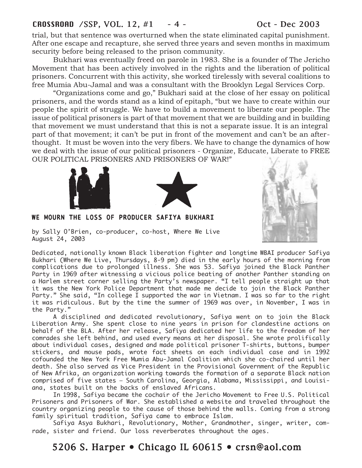## CROSSROAD /SSP, VOL. 12, #1 - 4 - Oct - Dec 2003

trial, but that sentence was overturned when the state eliminated capital punishment. After one escape and recapture, she served three years and seven months in maximum security before being released to the prison community.

Bukhari was eventually freed on parole in 1983. She is a founder of The Jericho Movement that has been actively involved in the rights and the liberation of political prisoners. Concurrent with this activity, she worked tirelessly with several coalitions to free Mumia Abu-Jamal and was a consultant with the Brooklyn Legal Services Corp.

"Organizations come and go," Bukhari said at the close of her essay on political prisoners, and the words stand as a kind of epitaph, "but we have to create within our people the spirit of struggle. We have to build a movement to liberate our people. The issue of political prisoners is part of that movement that we are building and in building that movement we must understand that this is not a separate issue. It is an integral part of that movement; it can't be put in front of the movement and can't be an afterthought. It must be woven into the very fibers. We have to change the dynamics of how we deal with the issue of our political prisoners - Organize, Educate, Liberate to FREE OUR POLITICAL PRISONERS AND PRISONERS OF WAR!"





WE MOURN THE LOSS OF PRODUCER SAFIYA BUKHARI

by Sally O'Brien, co-producer, co-host, Where We Live August 24, 2003

Dedicated, nationally known Black liberation fighter and longtime WBAI producer Safiya Bukhari (Where We Live, Thursdays, 8-9 pm) died in the early hours of the morning from complications due to prolonged illness. She was 53. Safiya joined the Black Panther Party in 1969 after witnessing a vicious police beating of another Panther standing on a Harlem street corner selling the Party's newspaper. "I tell people straight up that it was the New York Police Department that made me decide to join the Black Panther Party." She said, "In college I supported the war in Vietnam. I was so far to the right it was ridiculous. But by the time the summer of 1969 was over, in November, I was in the Party."

A disciplined and dedicated revolutionary, Safiya went on to join the Black Liberation Army. She spent close to nine years in prison for clandestine actions on behalf of the BLA. After her release, Safiya dedicated her life to the freedom of her comrades she left behind, and used every means at her disposal. She wrote prolifically about individual cases, designed and made political prisoner T-shirts, buttons, bumper stickers, and mouse pads, wrote fact sheets on each individual case and in 1992 cofounded the New York Free Mumia Abu-Jamal Coalition which she co-chaired until her death. She also served as Vice President in the Provisional Government of the Republic of New Afrika, an organization working towards the formation of a separate Black nation comprised of five states — South Carolina, Georgia, Alabama, Mississippi, and Louisiana, states built on the backs of enslaved Africans.

In 1998, Safiya became the cochair of the Jericho Movement to Free U.S. Political Prisoners and Prisoners of War. She established a website and traveled throughout the country organizing people to the cause of those behind the walls. Coming from a strong family spiritual tradition, Safiya came to embrace Islam.

Safiya Asya Bukhari, Revolutionary, Mother, Grandmother, singer, writer, comrade, sister and friend. Our loss reverberates throughout the ages.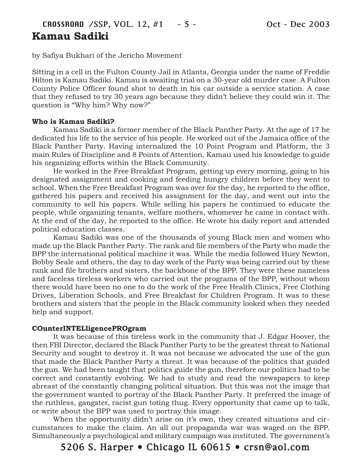by Safiya Bukhari of the Jericho Movement

Sitting in a cell in the Fulton County Jail in Atlanta, Georgia under the name of Freddie Hilton is Kamau Sadiki. Kamau is awaiting trial on a 30-year old murder case. A Fulton County Police Officer found shot to death in his car outside a service station. A case that they refused to try 30 years ago because they didn't believe they could win it. The question is "Why him? Why now?"

#### **Who is Kamau Sadiki?**

Kamau Sadiki is a former member of the Black Panther Party. At the age of 17 he dedicated his life to the service of his people. He worked out of the Jamaica office of the Black Panther Party. Having internalized the 10 Point Program and Platform, the 3 main Rules of Discipline and 8 Points of Attention, Kamau used his knowledge to guide his organizing efforts within the Black Community.

He worked in the Free Breakfast Program, getting up every morning, going to his designated assignment and cooking and feeding hungry children before they went to school. When the Free Breakfast Program was over for the day, he reported to the office, gathered his papers and received his assignment for the day, and went out into the community to sell his papers. While selling his papers he continued to educate the people, while organizing tenants, welfare mothers, whomever he came in contact with. At the end of the day, he reported to the office. He wrote his daily report and attended political education classes.

Kamau Sadiki was one of the thousands of young Black men and women who made up the Black Panther Party. The rank and file members of the Party who made the BPP the international political machine it was. While the media followed Huey Newton, Bobby Seale and others, the day to day work of the Party was being carried out by these rank and file brothers and sisters, the backbone of the BPP. They were these nameless and faceless tireless workers who carried out the programs of the BPP, without whom there would have been no one to do the work of the Free Health Clinics, Free Clothing Drives, Liberation Schools, and Free Breakfast for Children Program. It was to these brothers and sisters that the people in the Black community looked when they needed help and support.

#### **COunterINTELligencePROgram**

It was because of this tireless work in the community that J. Edgar Hoover, the then FBI Director, declared the Black Panther Party to be the greatest threat to National Security and sought to destroy it. It was not because we advocated the use of the gun that made the Black Panther Party a threat. It was because of the politics that guided the gun. We had been taught that politics guide the gun, therefore our politics had to be correct and constantly evolving. We had to study and read the newspapers to keep abreast of the constantly changing political situation. But this was not the image that the government wanted to portray of the Black Panther Party. It preferred the image of the ruthless, gangster, racist gun toting thug. Every opportunity that came up to talk, or write about the BPP was used to portray this image.

When the opportunity didn't arise on it's own, they created situations and circumstances to make the claim. An all out propaganda war was waged on the BPP. Simultaneously a psychological and military campaign was instituted. The government's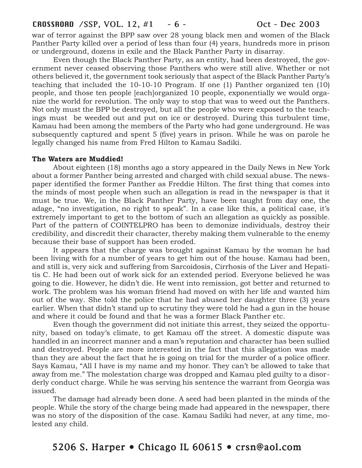## CROSSROAD /SSP, VOL. 12, #1 - 6 - Oct - Dec 2003

war of terror against the BPP saw over 28 young black men and women of the Black Panther Party killed over a period of less than four (4) years, hundreds more in prison or underground, dozens in exile and the Black Panther Party in disarray.

Even though the Black Panther Party, as an entity, had been destroyed, the government never ceased observing those Panthers who were still alive. Whether or not others believed it, the government took seriously that aspect of the Black Panther Party's teaching that included the 10-10-10 Program. If one (1) Panther organized ten (10) people, and those ten people [each]organized 10 people, exponentially we would organize the world for revolution. The only way to stop that was to weed out the Panthers. Not only must the BPP be destroyed, but all the people who were exposed to the teachings must be weeded out and put on ice or destroyed. During this turbulent time, Kamau had been among the members of the Party who had gone underground. He was subsequently captured and spent 5 (five) years in prison. While he was on parole he legally changed his name from Fred Hilton to Kamau Sadiki.

#### **The Waters are Muddied!**

About eighteen (18) months ago a story appeared in the Daily News in New York about a former Panther being arrested and charged with child sexual abuse. The newspaper identified the former Panther as Freddie Hilton. The first thing that comes into the minds of most people when such an allegation is read in the newspaper is that it must be true. We, in the Black Panther Party, have been taught from day one, the adage, "no investigation, no right to speak". In a case like this, a political case, it's extremely important to get to the bottom of such an allegation as quickly as possible. Part of the pattern of COINTELPRO has been to demonize individuals, destroy their credibility, and discredit their character, thereby making them vulnerable to the enemy because their base of support has been eroded.

It appears that the charge was brought against Kamau by the woman he had been living with for a number of years to get him out of the house. Kamau had been, and still is, very sick and suffering from Sarcoidosis, Cirrhosis of the Liver and Hepatitis C. He had been out of work sick for an extended period. Everyone believed he was going to die. However, he didn't die. He went into remission, got better and returned to work. The problem was his woman friend had moved on with her life and wanted him out of the way. She told the police that he had abused her daughter three (3) years earlier. When that didn't stand up to scrutiny they were told he had a gun in the house and where it could be found and that he was a former Black Panther etc.

Even though the government did not initiate this arrest, they seized the opportunity, based on today's climate, to get Kamau off the street. A domestic dispute was handled in an incorrect manner and a man's reputation and character has been sullied and destroyed. People are more interested in the fact that this allegation was made than they are about the fact that he is going on trial for the murder of a police officer. Says Kamau, "All I have is my name and my honor. They can't be allowed to take that away from me." The molestation charge was dropped and Kamau pled guilty to a disorderly conduct charge. While he was serving his sentence the warrant from Georgia was issued.

The damage had already been done. A seed had been planted in the minds of the people. While the story of the charge being made had appeared in the newspaper, there was no story of the disposition of the case. Kamau Sadiki had never, at any time, molested any child.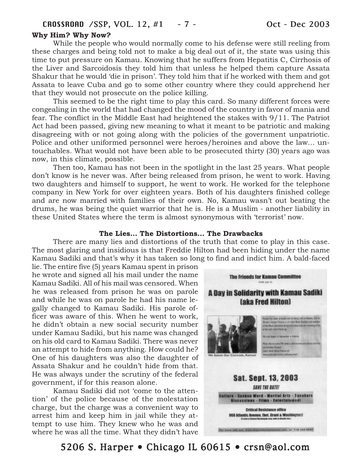#### **Why Him? Why Now?**

While the people who would normally come to his defense were still reeling from these charges and being told not to make a big deal out of it, the state was using this time to put pressure on Kamau. Knowing that he suffers from Hepatitis C, Cirrhosis of the Liver and Sarcoidosis they told him that unless he helped them capture Assata Shakur that he would 'die in prison'. They told him that if he worked with them and got Assata to leave Cuba and go to some other country where they could apprehend her that they would not prosecute on the police killing.

This seemed to be the right time to play this card. So many different forces were congealing in the world that had changed the mood of the country in favor of mania and fear. The conflict in the Middle East had heightened the stakes with 9/11. The Patriot Act had been passed, giving new meaning to what it meant to be patriotic and making disagreeing with or not going along with the policies of the government unpatriotic. Police and other uniformed personnel were heroes/heroines and above the law… untouchables. What would not have been able to be prosecuted thirty (30) years ago was now, in this climate, possible.

Then too, Kamau has not been in the spotlight in the last 25 years. What people don't know is he never was. After being released from prison, he went to work. Having two daughters and himself to support, he went to work. He worked for the telephone company in New York for over eighteen years. Both of his daughters finished college and are now married with families of their own. No, Kamau wasn't out beating the drums, he was being the quiet warrior that he is. He is a Muslim - another liability in these United States where the term is almost synonymous with 'terrorist' now.

#### **The Lies… The Distortions… The Drawbacks**

There are many lies and distortions of the truth that come to play in this case. The most glaring and insidious is that Freddie Hilton had been hiding under the name Kamau Sadiki and that's why it has taken so long to find and indict him. A bald-faced

lie. The entire five (5) years Kamau spent in prison he wrote and signed all his mail under the name Kamau Sadiki. All of his mail was censored. When he was released from prison he was on parole and while he was on parole he had his name legally changed to Kamau Sadiki. His parole officer was aware of this. When he went to work, he didn't obtain a new social security number under Kamau Sadiki, but his name was changed on his old card to Kamau Sadiki. There was never an attempt to hide from anything. How could he? One of his daughters was also the daughter of Assata Shakur and he couldn't hide from that. He was always under the scrutiny of the federal government, if for this reason alone.

Kamau Sadiki did not 'come to the attention' of the police because of the molestation charge, but the charge was a convenient way to arrest him and keep him in jail while they attempt to use him. They knew who he was and where he was all the time. What they didn't have

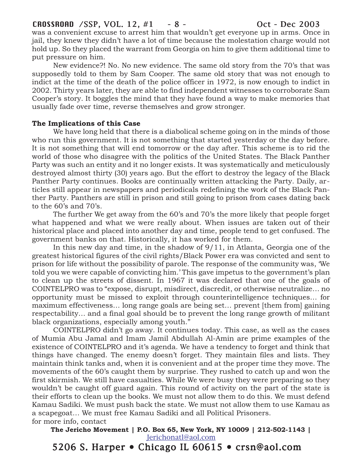was a convenient excuse to arrest him that wouldn't get everyone up in arms. Once in jail, they knew they didn't have a lot of time because the molestation charge would not hold up. So they placed the warrant from Georgia on him to give them additional time to put pressure on him.

New evidence?! No. No new evidence. The same old story from the 70's that was supposedly told to them by Sam Cooper. The same old story that was not enough to indict at the time of the death of the police officer in 1972, is now enough to indict in 2002. Thirty years later, they are able to find independent witnesses to corroborate Sam Cooper's story. It boggles the mind that they have found a way to make memories that usually fade over time, reverse themselves and grow stronger.

### **The Implications of this Case**

We have long held that there is a diabolical scheme going on in the minds of those who run this government. It is not something that started yesterday or the day before. It is not something that will end tomorrow or the day after. This scheme is to rid the world of those who disagree with the politics of the United States. The Black Panther Party was such an entity and it no longer exists. It was systematically and meticulously destroyed almost thirty (30) years ago. But the effort to destroy the legacy of the Black Panther Party continues. Books are continually written attacking the Party. Daily, articles still appear in newspapers and periodicals redefining the work of the Black Panther Party. Panthers are still in prison and still going to prison from cases dating back to the 60's and 70's.

The further We get away from the 60's and 70's the more likely that people forget what happened and what we were really about. When issues are taken out of their historical place and placed into another day and time, people tend to get confused. The government banks on that. Historically, it has worked for them.

In this new day and time, in the shadow of 9/11, in Atlanta, Georgia one of the greatest historical figures of the civil rights/Black Power era was convicted and sent to prison for life without the possibility of parole. The response of the community was, 'We told you we were capable of convicting him.' This gave impetus to the government's plan to clean up the streets of dissent. In 1967 it was declared that one of the goals of COINTELPRO was to "expose, disrupt, misdirect, discredit, or otherwise neutralize… no opportunity must be missed to exploit through counterintelligence techniques… for maximum effectiveness… long range goals are being set… prevent [them from] gaining respectability… and a final goal should be to prevent the long range growth of militant black organizations, especially among youth."

COINTELPRO didn't go away. It continues today. This case, as well as the cases of Mumia Abu Jamal and Imam Jamil Abdullah Al-Amin are prime examples of the existence of COINTELPRO and it's agenda. We have a tendency to forget and think that things have changed. The enemy doesn't forget. They maintain files and lists. They maintain think tanks and, when it is convenient and at the proper time they move. The movements of the 60's caught them by surprise. They rushed to catch up and won the first skirmish. We still have casualties. While We were busy they were preparing so they wouldn't be caught off guard again. This round of activity on the part of the state is their efforts to clean up the books. We must not allow them to do this. We must defend Kamau Sadiki. We must push back the state. We must not allow them to use Kamau as a scapegoat… We must free Kamau Sadiki and all Political Prisoners.

for more info, contact

**The Jericho Movement | P.O. Box 65, New York, NY 10009 | 212-502-1143 |** Jerichonatl@aol.com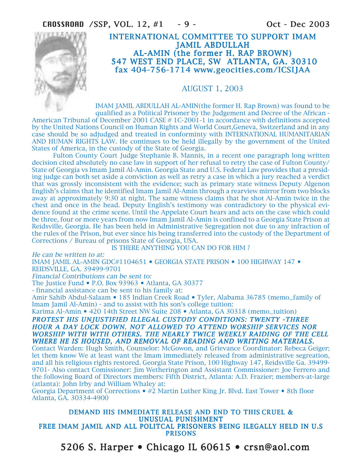

## INTERNATIONAL COMMITTEE TO SUPPORT IMAM JAMIL ABDULLAH AL-AMIN (the former H. RAP BROWN) 547 WEST END PLACE, SW ATLANTA, GA. 30310 fax 404-756-1714 www.geocities.com/ICSIJAA

#### AUGUST 1, 2003

IMAM JAMIL ABDULLAH AL-AMIN(the former H. Rap Brown) was found to be qualified as a Political Prisoner by the Judgement and Decree of the African -

American Tribunal of December 2001 CASE # 1C-2001-1 in accordance with definitions accepted by the United Nations Council on Human Rights and World Court,Geneva, Switzerland and in any case should be so adjudged and treated in conforminty with INTERNATIONAL HUMANITARIAN AND HUMAN RIGHTS LAW. He continues to be held illegally by the government of the United States of America, in the custody of the State of Georgia.

Fulton County Court Judge Stephanie B. Mannis, in a recent one paragraph long written decision cited absolutely no case law in support of her refusal to retry the case of Fulton County/ State of Georgia vs Imam Jamil Al-Amin. Georgia State and U.S. Federal Law provides that a presiding judge can both set aside a conviction as well as retry a case in which a jury reached a verdict that was grossly inconsistent with the evidence; such as primary state witness Deputy Algenon English's claims that he identified Imam Jamil Al-Amin through a rearview mirror from two blocks away at approximately 9:30 at night. The same witness claims that he shot Al-Amin twice in the chest and once in the head. Deputy English's testimony was contradictory to the physical evidence found at the crime scene. Until the Appelate Court hears and acts on the case which could be three, four or more years from now Imam Jamil Al-Amin is confined to a Georgia State Prison at Reidsville, Georgia. He has been held in Administrative Segregation not due to any infraction of the rules of the Prison, but ever since his being transferred into the custody of the Department of Corrections / Bureau of prisons State of Georgia, USA.

IS THERE ANYTHING YOU CAN DO FOR HIM ?

He can be written to at:

IMAM JAMIL AL-AMIN GDC#1104651 • GEORGIA STATE PRISON • 100 HIGHWAY 147 •

REIDSVILLE, GA. 39499-9701

Financial Contributions can be sent to:

The Justice Fund • P.O. Box 93963 • Atlanta, GA 30377

- financial assistance can be sent to his family at:

Amir Sahib Abdul-Salaam • 185 Indian Creek Road • Tyler, Alabama 36785 (memo\_family of Imam Jamil Al-Amin) - and to assist with his son's college tuition:

Karima Al-Amin • 420 14th Street NW Suite 208 • Atlanta, GA 30318 (memo\_tuition)

#### PROTEST HIS UNJUSTIFIED ILLEGAL CUSTODY CONDITIONS: TWENTY -THREE HOUR A DAY LOCK DOWN. NOT ALLOWED TO ATTEND WORSHIP SERVICES NOR WORSHIP WITH WITH OTHERS. THE NEARLY TWICE WEEKLY RAIDING OF THE CELL WHERE HE IS HOUSED, AND REMOVAL OF READING AND WRITING MATERIALS.

Contact Warden: Hugh Smith, Counselor: McGowon, and Grievance Coordinator: Rebeca Geiger; let them know We at least want the Imam immediately released from administrative segreation, and all his religious rights restored. Georgia State Prison, 100 Highway 147, Reidsville Ga. 39499- 9701- Also contact Comissioner: Jim Wetherington and Assistant Commissioner: Joe Ferrero and the following Board of Directors members: Fifth District, Atlanta: A.D. Frazier; members-at-large (atlanta): John Irby and William Whaley at:

Georgia Department of Corrections • #2 Martin Luther King Jr. Blvd. East Tower • 8th floor Atlanta, GA. 30334-4900

#### DEMAND HIS IMMEDIATE RELEASE AND END TO THIS CRUEL & UNUSUAL PUNISHMENT FREE IMAM JAMIL AND ALL POLITCAL PRISONERS BEING ILEGALLY HELD IN U.S PRISONS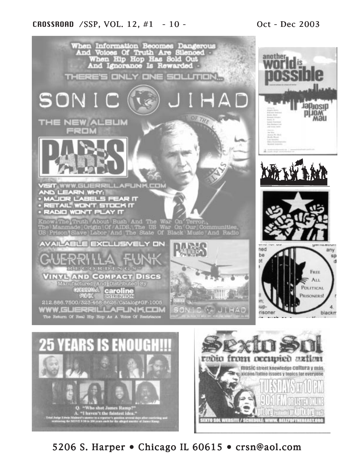

5206 S. Harper • Chicago IL 60615 • crsn@aol.com

EXTO SOL WEBSITE / SCHEDULE: WWW. BELLYOFTHEBI

 $\Lambda$ . "I have n't the faintest is verify."<br>And Jacky Line Males Lawrence to the faintest idea wreaking after contribution<br>— watering the MOVE 4.30 is 304 years on 6 for the allege meeter of Jacky Hang.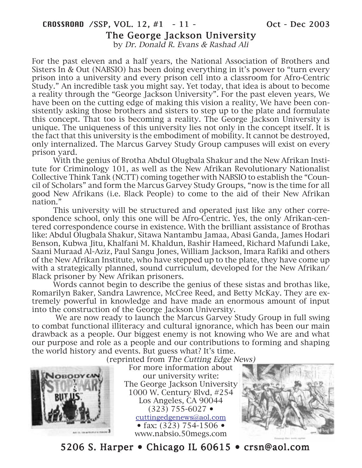# CROSSROAD /SSP, VOL. 12, #1 - 11 - Oct - Dec 2003 The George Jackson University

by Dr. Donald R. Evans & Rashad Ali

For the past eleven and a half years, the National Association of Brothers and Sisters In & Out (NABSIO) has been doing everything in it's power to "turn every prison into a university and every prison cell into a classroom for Afro-Centric Study." An incredible task you might say. Yet today, that idea is about to become a reality through the "George Jackson University". For the past eleven years, We have been on the cutting edge of making this vision a reality, We have been consistently asking those brothers and sisters to step up to the plate and formulate this concept. That too is becoming a reality. The George Jackson University is unique. The uniqueness of this university lies not only in the concept itself. It is the fact that this university is the embodiment of mobility. It cannot be destroyed, only internalized. The Marcus Garvey Study Group campuses will exist on every prison yard.

With the genius of Brotha Abdul Olugbala Shakur and the New Afrikan Institute for Criminology 101, as well as the New Afrikan Revolutionary Nationalist Collective Think Tank (NCTT) coming together with NABSIO to establish the "Council of Scholars" and form the Marcus Garvey Study Groups, "now is the time for all good New Afrikans (i.e. Black People) to come to the aid of their New Afrikan nation."

This university will be structured and operated just like any other correspondence school, only this one will be Afro-Centric. Yes, the only Afrikan-centered correspondence course in existence. With the brilliant assistance of Brothas like: Abdul Olugbala Shakur, Sitawa Nantambu Jamaa, Abasi Ganda, James Hodari Benson, Kubwa Jitu, Khalfani M. Khaldun, Bashir Hameed, Richard Mafundi Lake, Saani Muraad Al-Aziz, Paul Sangu Jones, William Jackson, Imara Rafiki and others of the New Afrikan Institute, who have stepped up to the plate, they have come up with a strategically planned, sound curriculum, developed for the New Afrikan/ Black prisoner by New Afrikan prisoners.

Words cannot begin to describe the genius of these sistas and brothas like, Romarilyn Baker, Sandra Lawrence, McCree Reed, and Betty McKay. They are extremely powerful in knowledge and have made an enormous amount of input into the construction of the George Jackson University.

 We are now ready to launch the Marcus Garvey Study Group in full swing to combat functional illiteracy and cultural ignorance, which has been our main drawback as a people. Our biggest enemy is not knowing who We are and what our purpose and role as a people and our contributions to forming and shaping the world history and events. But guess what? It's time.



(reprinted from The Cutting Edge News) For more information about our university write: The George Jackson University 1000 W. Century Blvd, #254 Los Angeles, CA 90044 (323) 755-6027 • cuttingedgenews@aol.com • fax:  $(323)$  754-1506 • www.nabsio.50megs.com

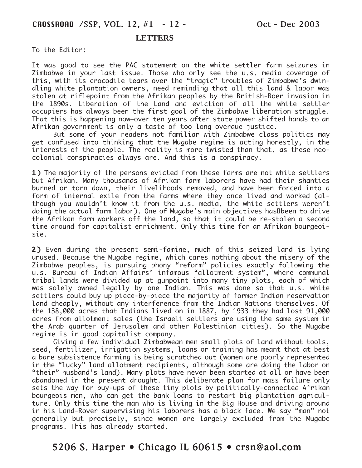#### **LETTERS**

To the Editor:

It was good to see the PAC statement on the white settler farm seizures in Zimbabwe in your last issue. Those who only see the u.s. media coverage of this, with its crocodile tears over the "tragic" troubles of Zimbabwe's dwindling white plantation owners, need reminding that all this land & labor was stolen at riflepoint from the Afrikan peoples by the British-Boer invasion in the 1890s. Liberation of the Land and eviction of all the white settler occupiers has always been the first goal of the Zimbabwe liberation struggle. That this is happening now—over ten years after state power shifted hands to an Afrikan government—is only a taste of too long overdue justice.

But some of your readers not familiar with Zimbabwe class politics may get confused into thinking that the Mugabe regime is acting honestly, in the interests of the people. The reality is more twisted than that, as these neocolonial conspiracies always are. And this is a conspiracy.

1) The majority of the persons evicted from these farms are not white settlers but Afrikan. Many thousands of Afrikan farm laborers have had their shanties burned or torn down, their livelihoods removed, and have been forced into a form of internal exile from the farms where they once lived and worked (although you wouldn't know it from the u.s. media, the white settlers weren't doing the actual farm labor). One of Mugabe's main objectives haslbeen to drive the Afrikan farm workers off the land, so that it could be re-stolen a second time around for capitalist enrichment. Only this time for an Afrikan bourgeoisie.

2) Even during the present semi-famine, much of this seized land is lying unused. Because the Mugabe regime, which cares nothing about the misery of the Zimbabwe peoples, is pursuing phony "reform" policies exactly following the u.s. Bureau of Indian Affairs' infamous "allotment system", where communal tribal lands were divided up at gunpoint into many tiny plots, each of which was solely owned legally by one Indian. This was done so that u.s. white settlers could buy up piece-by-piece the majority of former Indian reservation land cheaply, without any interference from the Indian Nations themselves. Of the 138,000 acres that Indians lived on in 1887, by 1933 they had lost 91,000 acres from allotment sales (the Israeli settlers are using the same system in the Arab quarter of Jerusalem and other Palestinian cities). So the Mugabe regime is in good capitalist company.

Giving a few individual Zimbabwean men small plots of land without tools, seed, fertilizer, irrigation systems, loans or training has meant that at best a bare subsistence farming is being scratched out (women are poorly represented in the "lucky" land allotment recipients, although some are doing the labor on "their" husband's land). Many plots have never been started at all or have been abandoned in the present drought. This deliberate plan for mass failure only sets the way for buy-ups of these tiny plots by politically-connected Afrikan bourgeois men, who can get the bank loans to restart big plantation agriculture. Only this time the man who is living in the Big House and driving around in his Land-Rover supervising his laborers has a black face. We say "man" not generally but precisely, since women are largely excluded from the Mugabe programs. This has already started.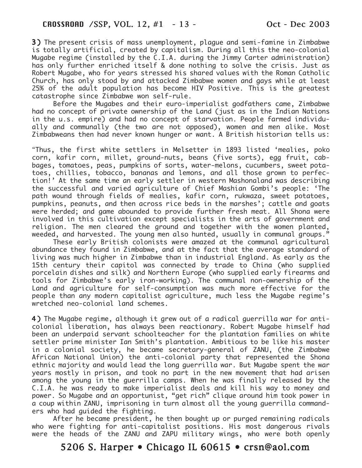3) The present crisis of mass unemployment, plaque and semi-famine in Zimbabwe is totally artificial, created by capitalism. During all this the neo-colonial Mugabe regime (installed by the C.I.A. during the Jimmy Carter administration) has only further enriched itself & done nothing to solve the crisis. Just as Robert Mugabe, who for years stressed his shared values with the Roman Catholic Church, has only stood by and attacked Zimbabwe women and gays while at least 25% of the adult population has become HIV Positive. This is the greatest catastrophe since Zimbabwe won self-rule.

Before the Mugabes and their euro-imperialist godfathers came, Zimbabwe had no concept of private ownership of the Land (just as in the Indian Nations in the u.s. empire) and had no concept of starvation. People farmed individually and communally (the two are not opposed), women and men alike. Most Zimbabweans then had never known hunger or want. A British historian tells us:

"Thus, the first white settlers in Melsetter in 1893 listed 'mealies, poko corn, kafir corn, millet, ground-nuts, beans (five sorts), egg fruit, cabbages, tomatoes, peas, pumpkins of sorts, water-melons, cucumbers, sweet potatoes, chillies, tobacco, bananas and lemons, and all those grown to perfection!' At the same time an early settler in western Mashonaland was describing the successful and varied agriculture of Chief Mashian Gombi's people: 'The path wound through fields of mealies, kafir corn, rukwaza, sweet potatoes, pumpkins, peanuts, and then across rice beds in the marshes'; cattle and goats were herded; and game abounded to provide further fresh meat. All Shona were involved in this cultivation except specialists in the arts of government and religion. The men cleared the ground and together with the women planted, weeded, and harvested. The young men also hunted, usually in communal groups."

These early British colonists were amazed at the communal agricultural abundance they found in Zimbabwe, and at the fact that the average standard of living was much higher in Zimbabwe than in industrial England. As early as the 15th century their capitol was connected by trade to China (who supplied porcelain dishes and silk) and Northern Europe (who supplied early firearms and tools for Zimbabwe's early iron-working). The communal non-ownership of the Land and agriculture for self-consumption was much more effective for the people than any modern capitalist agriculture, much less the Mugabe regime's wretched neo-colonial land schemes.

4) The Mugabe regime, although it grew out of a radical guerrilla war for anticolonial liberation, has always been reactionary. Robert Mugabe himself had been an underpaid servant schoolteacher for the plantation families on white settler prime minister Ian Smith's plantation. Ambitious to be like his master in a colonial society, he became secretary-general of ZANU, (the Zimbabwe African National Union) the anti-colonial party that represented the Shona ethnic majority and would lead the long guerrilla war. But Mugabe spent the war years mostly in prison, and took no part in the new movement that had arisen among the young in the guerrilla camps. When he was finally released by the C.I.A. he was ready to make imperialist deals and kill his way to money and power. So Mugabe and an opportunist, "get rich" clique around him took power in a coup within ZANU, imprisoning in turn almost all the young guerrilla commanders who had guided the fighting.

After he became president, he then bought up or purged remaining radicals who were fighting for anti-capitalist positions. His most dangerous rivals were the heads of the ZANU and ZAPU military wings, who were both openly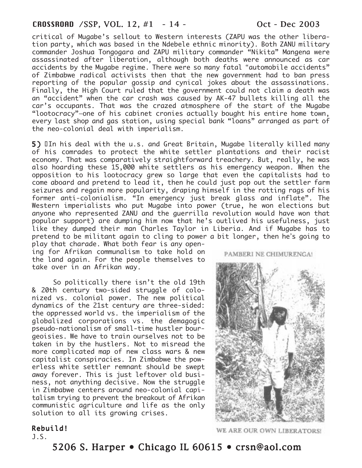#### CROSSROAD /SSP, VOL. 12, #1 - 14 - Oct - Dec 2003

critical of Mugabe's sellout to Western interests (ZAPU was the other liberation party, which was based in the Ndebele ethnic minority). Both ZANU military commander Joshua Tongogara and ZAPU military commander "Nikita" Mangena were assassinated after liberation, although both deaths were announced as car accidents by the Mugabe regime. There were so many fatal "automobile accidents" of Zimbabwe radical activists then that the new government had to ban press reporting of the popular gossip and cynical jokes about the assassinations. Finally, the High Court ruled that the government could not claim a death was an "accident" when the car crash was caused by AK-47 bullets killing all the car's occupants. That was the crazed atmosphere of the start of the Mugabe "lootocracy"—one of his cabinet cronies actually bought his entire home town, every last shop and gas station, using special bank "loans" arranged as part of the neo-colonial deal with imperialism.

5) IIn his deal with the u.s. and Great Britain, Mugabe literally killed many of his comrades to protect the white settler plantations and their racist economy. That was comparatively straightforward treachery. But, really, he was also hoarding these 15,000 white settlers as his emergency weapon. When the opposition to his lootocracy grew so large that even the capitalists had to come aboard and pretend to lead it, then he could just pop out the settler farm seizures and regain more popularity, draping himself in the rotting rags of his former anti-colonialism. "In emergency just break glass and inflate". The Western imperialists who put Mugabe into power (true, he won elections but anyone who represented ZANU and the guerrilla revolution would have won that popular support) are dumping him now that he's outlived his usefulness, just like they dumped their man Charles Taylor in Liberia. And if Mugabe has to pretend to be militant again to cling to power a bit longer, then he's going to play that charade. What both fear is any open-

ing for Afrikan communalism to take hold on the land again. For the people themselves to take over in an Afrikan way.

So politically there isn't the old 19th & 20th century two-sided struggle of colonized vs. colonial power. The new political dynamics of the 21st century are three-sided: the oppressed world vs. the imperialism of the globalized corporations vs. the demagogic pseudo-nationalism of small-time hustler bourgeoisies. We have to train ourselves not to be taken in by the hustlers. Not to misread the more complicated map of new class wars & new capitalist conspiracies. In Zimbabwe the powerless white settler remnant should be swept away forever. This is just leftover old business, not anything decisive. Now the struggle in Zimbabwe centers around neo-colonial capitalism trying to prevent the breakout of Afrikan communistic agriculture and life as the only solution to all its growing crises.

#### PAMBERI NE CHIMURENGA!



#### Rebuild!

J.S.

WE ARE OUR OWN LIBER ATORS!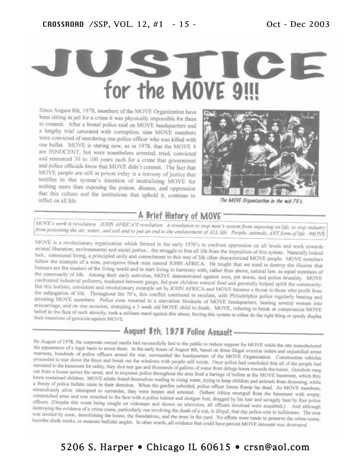# JSTICE for the MOVE 9!!!

Since August 8th, 1978, members of the MOVE Organization have been sitting in jail for a crime it was physically impossible for them to commit. After a brutal police raid on MOVE headquarters and a lengthy trial saturated with corruption, nine MOVE members were convicted of murdering one police officer who was killed with one bullet. MOVE is stating now, as in 1978, that the MOVE 9 are INNOCENT, but were nonetheless arrested, tried, convicted and sentenced 30 to 100 years each for a crime that government and police officials know that MOVE didn't commit. The fact that MOVE people are still in prison today is a travesty of justice that testifies to this system's intention of neutralizing MOVE for nothing more than exposing the poison, disease, and oppression that this culture and the institutions that uphold it, continue to inflict on all life.



The MOVE Organization in the mid 70's.

# A Brief History of MOVE

MOVE's work is revolution. JOHN AFRICA'S revolution. A revolution to stop man's system from imposing on life, to stop industry from poisoning the air, water, and soil and to put an end to the enslavement of ALL life. People, animals, ANY form of life. -MOVE

MOVE is a revolutionary organization which formed in the early 1970's to confront oppression on all levels and work towards animal liberation, environmental and social justice... the struggle to free all life from the imposition of this system. Naturally locked hair, communal living, a principled unity and commitment to this way of life often characterized MOVE people. MOVE members follow the example of a wise, perceptive black man named JOHN AFRICA. He taught that we need to destroy the illusion that humans are the masters of the living world and to start living in barmony with, rather than above, natural law, as equal members of the community of life. Among their early activities, MOVE demonstrated against zoos, pet stores, and police brutality. MOVE confronted industrial polluters, mediated between gangs, fed poor children natural food and generally helped uplift the community. But this holistic, consistent and revolutionary example set by JOHN AFRICA and MOVE became a threat to those who profit from the subjugation of life. Throughout the 70's, this conflict continued to escalate, with Philadelphia police regularly beating and arresting MOVE mombers. Police control of the conflict continued to escalate, with Philadelp arresting MOVE members. Police even resorted to a starvation blockade of MOVE beadquarters, beating several women into miscarriage, and on one occasion, stomping a 3 week old MOVE child to death. MOVE neadquarters, beating several women into<br>belief in the face of such atrocity, tool and a 3 week old MOVE child to death. MOVE, refusing to b belief in the face of such atrocity, took a militant stand against this abuse, forcing this system to either do the right thing or openly display<br>their intentions of genucida against MOVE their intentions of genocide against MOVE.

# - August 8th, 1978 Police Assault-

By August of 1978, the corporate owned media had successfully lied to the public to reduce support for MOVE while the city manufactured the appearance of a legal basis to arrest them. In the early hours of August 8th, based on these illegal eviction orders and unjustified arrest warrants, hundreds of police officers arrest from the early hours of August 8t warrants, hundreds of police officers armed for war, surrounded the headquarters of the MOVE Organization. Construction vehicles proceeded to tear down the fence and break out the windows with people still inside. Once police had concluded that all of the people had retreated to the basement for safety there also the tear into the vindows with peopl retreated to the basement for safety, they shot tear gas and thousands of gallons of water from deluge hoses towards the house, Gunshots rang out from a house across the street, and in response police throughout the area fired a barrage of bullets at the MOVE basement, which they know contained children. MOVE adults from dependence of bullets at the MOVE basemen knew contained children. MOVE adults found themselves wading in rising water, trying to keep children and animals from drowning, which they a frenzy of police bullets came in their direction. When the studies in this prope a frenzy of police bullets came in their direction. When the gunfire subsided, police officer James Ramp lay dead. As MOVE members, while miraculously alive, attempted to surrender, they were beaten and arrested. Delbert Africa emerged from the basement with empty, outstretched arms and was smashed in the face were beaten and arrested. Delbert Africa emerged outstretched arms and was smashed in the face with a police helmet and arrested. Deibert Africa emerged from the basement with empty,<br>officers. (Despite this event being caught on videotapp and short and shottpun butt, dra officers. (Despite this event being caught on viola a posse neinter and snorgun butt, dragged by his hair and savagely beat by four police<br>destroying the evidence of a crime scene, particularly can include the discussion, destroying the evidence of a crime scene, particularly one involving the death of a cop, is *illegal*, that day police sent in bulldozers. The area was leveled by noon, demolishing the house the frame throwing the death of was leveled by noon, demolishing the house, the foundations, and the trees in the yard. No efforts were made to preserve the crime scene, inscribe chalk marks or measure bellieting and the foundations, and the trees in the inscribe chalk marks, or measure ballistic angles. In other words, all evidence that could have proved MOVE innocent was destroyed.